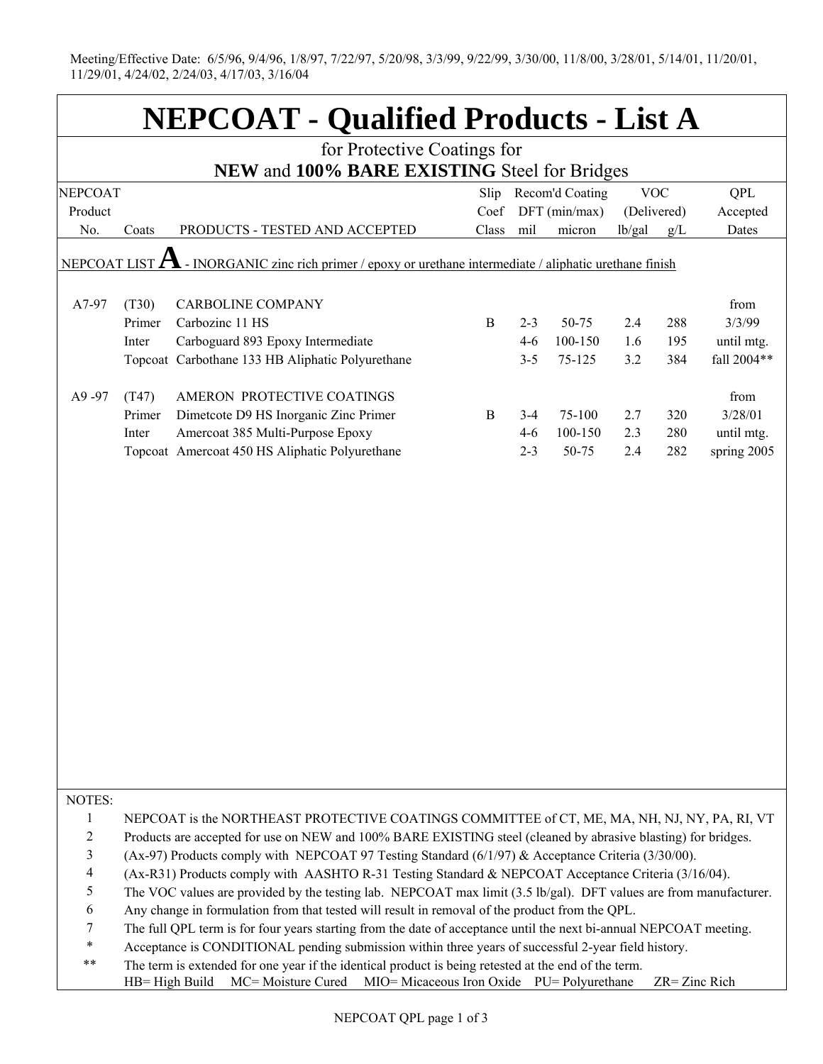Meeting/Effective Date: 6/5/96, 9/4/96, 1/8/97, 7/22/97, 5/20/98, 3/3/99, 9/22/99, 3/30/00, 11/8/00, 3/28/01, 5/14/01, 11/20/01, 11/29/01, 4/24/02, 2/24/03, 4/17/03, 3/16/04

| <b>NEPCOAT - Qualified Products - List A</b>                                  |                |                                                                                                                                                                                                                                                                                                                                                                                                                                                                                                                                                                                                                                                                                                                                                                                                                                                                                                                                                                                                                                                         |              |         |                 |        |                  |                        |  |  |
|-------------------------------------------------------------------------------|----------------|---------------------------------------------------------------------------------------------------------------------------------------------------------------------------------------------------------------------------------------------------------------------------------------------------------------------------------------------------------------------------------------------------------------------------------------------------------------------------------------------------------------------------------------------------------------------------------------------------------------------------------------------------------------------------------------------------------------------------------------------------------------------------------------------------------------------------------------------------------------------------------------------------------------------------------------------------------------------------------------------------------------------------------------------------------|--------------|---------|-----------------|--------|------------------|------------------------|--|--|
| for Protective Coatings for                                                   |                |                                                                                                                                                                                                                                                                                                                                                                                                                                                                                                                                                                                                                                                                                                                                                                                                                                                                                                                                                                                                                                                         |              |         |                 |        |                  |                        |  |  |
| NEW and 100% BARE EXISTING Steel for Bridges<br><b>VOC</b><br>Recom'd Coating |                |                                                                                                                                                                                                                                                                                                                                                                                                                                                                                                                                                                                                                                                                                                                                                                                                                                                                                                                                                                                                                                                         |              |         |                 |        |                  |                        |  |  |
| <b>NEPCOAT</b><br>Product                                                     |                |                                                                                                                                                                                                                                                                                                                                                                                                                                                                                                                                                                                                                                                                                                                                                                                                                                                                                                                                                                                                                                                         | Slip<br>Coef |         | $DFT$ (min/max) |        | (Delivered)      | <b>QPL</b><br>Accepted |  |  |
| No.                                                                           | Coats          | PRODUCTS - TESTED AND ACCEPTED                                                                                                                                                                                                                                                                                                                                                                                                                                                                                                                                                                                                                                                                                                                                                                                                                                                                                                                                                                                                                          | Class        | mil     | micron          | lb/gal | g/L              | Dates                  |  |  |
|                                                                               |                |                                                                                                                                                                                                                                                                                                                                                                                                                                                                                                                                                                                                                                                                                                                                                                                                                                                                                                                                                                                                                                                         |              |         |                 |        |                  |                        |  |  |
|                                                                               |                | NEPCOAT LIST $\Lambda$ - INORGANIC zinc rich primer / epoxy or urethane intermediate / aliphatic urethane finish                                                                                                                                                                                                                                                                                                                                                                                                                                                                                                                                                                                                                                                                                                                                                                                                                                                                                                                                        |              |         |                 |        |                  |                        |  |  |
| A7-97                                                                         | (T30)          | <b>CARBOLINE COMPANY</b>                                                                                                                                                                                                                                                                                                                                                                                                                                                                                                                                                                                                                                                                                                                                                                                                                                                                                                                                                                                                                                |              |         |                 |        |                  | from                   |  |  |
|                                                                               | Primer         | Carbozinc 11 HS                                                                                                                                                                                                                                                                                                                                                                                                                                                                                                                                                                                                                                                                                                                                                                                                                                                                                                                                                                                                                                         | B            | $2 - 3$ | 50-75           | 2.4    | 288              | 3/3/99                 |  |  |
|                                                                               | Inter          | Carboguard 893 Epoxy Intermediate                                                                                                                                                                                                                                                                                                                                                                                                                                                                                                                                                                                                                                                                                                                                                                                                                                                                                                                                                                                                                       |              | $4 - 6$ | 100-150         | 1.6    | 195              | until mtg.             |  |  |
|                                                                               |                | Topcoat Carbothane 133 HB Aliphatic Polyurethane                                                                                                                                                                                                                                                                                                                                                                                                                                                                                                                                                                                                                                                                                                                                                                                                                                                                                                                                                                                                        |              | $3 - 5$ | 75-125          | 3.2    | 384              | fall 2004**            |  |  |
| A9-97                                                                         | (T47)          | AMERON PROTECTIVE COATINGS                                                                                                                                                                                                                                                                                                                                                                                                                                                                                                                                                                                                                                                                                                                                                                                                                                                                                                                                                                                                                              |              |         |                 |        |                  | from                   |  |  |
|                                                                               | Primer         | Dimetcote D9 HS Inorganic Zinc Primer                                                                                                                                                                                                                                                                                                                                                                                                                                                                                                                                                                                                                                                                                                                                                                                                                                                                                                                                                                                                                   | B            | $3 - 4$ | 75-100          | 2.7    | 320              | 3/28/01                |  |  |
|                                                                               | Inter          | Amercoat 385 Multi-Purpose Epoxy                                                                                                                                                                                                                                                                                                                                                                                                                                                                                                                                                                                                                                                                                                                                                                                                                                                                                                                                                                                                                        |              | $4-6$   | 100-150         | 2.3    | 280              | until mtg.             |  |  |
|                                                                               |                | Topcoat Amercoat 450 HS Aliphatic Polyurethane                                                                                                                                                                                                                                                                                                                                                                                                                                                                                                                                                                                                                                                                                                                                                                                                                                                                                                                                                                                                          |              | $2 - 3$ | 50-75           | 2.4    | 282              | spring 2005            |  |  |
|                                                                               |                |                                                                                                                                                                                                                                                                                                                                                                                                                                                                                                                                                                                                                                                                                                                                                                                                                                                                                                                                                                                                                                                         |              |         |                 |        |                  |                        |  |  |
| NOTES:                                                                        |                |                                                                                                                                                                                                                                                                                                                                                                                                                                                                                                                                                                                                                                                                                                                                                                                                                                                                                                                                                                                                                                                         |              |         |                 |        |                  |                        |  |  |
| 1<br>$\mathbf{2}$<br>3<br>4<br>5<br>6<br>7<br>$\ast$<br>**                    | HB= High Build | NEPCOAT is the NORTHEAST PROTECTIVE COATINGS COMMITTEE of CT, ME, MA, NH, NJ, NY, PA, RI, VT<br>Products are accepted for use on NEW and 100% BARE EXISTING steel (cleaned by abrasive blasting) for bridges.<br>(Ax-97) Products comply with NEPCOAT 97 Testing Standard (6/1/97) & Acceptance Criteria (3/30/00).<br>(Ax-R31) Products comply with AASHTO R-31 Testing Standard & NEPCOAT Acceptance Criteria (3/16/04).<br>The VOC values are provided by the testing lab. NEPCOAT max limit (3.5 lb/gal). DFT values are from manufacturer.<br>Any change in formulation from that tested will result in removal of the product from the QPL.<br>The full QPL term is for four years starting from the date of acceptance until the next bi-annual NEPCOAT meeting.<br>Acceptance is CONDITIONAL pending submission within three years of successful 2-year field history.<br>The term is extended for one year if the identical product is being retested at the end of the term.<br>MC= Moisture Cured MIO= Micaceous Iron Oxide PU= Polyurethane |              |         |                 |        | $ZR = Zinc$ Rich |                        |  |  |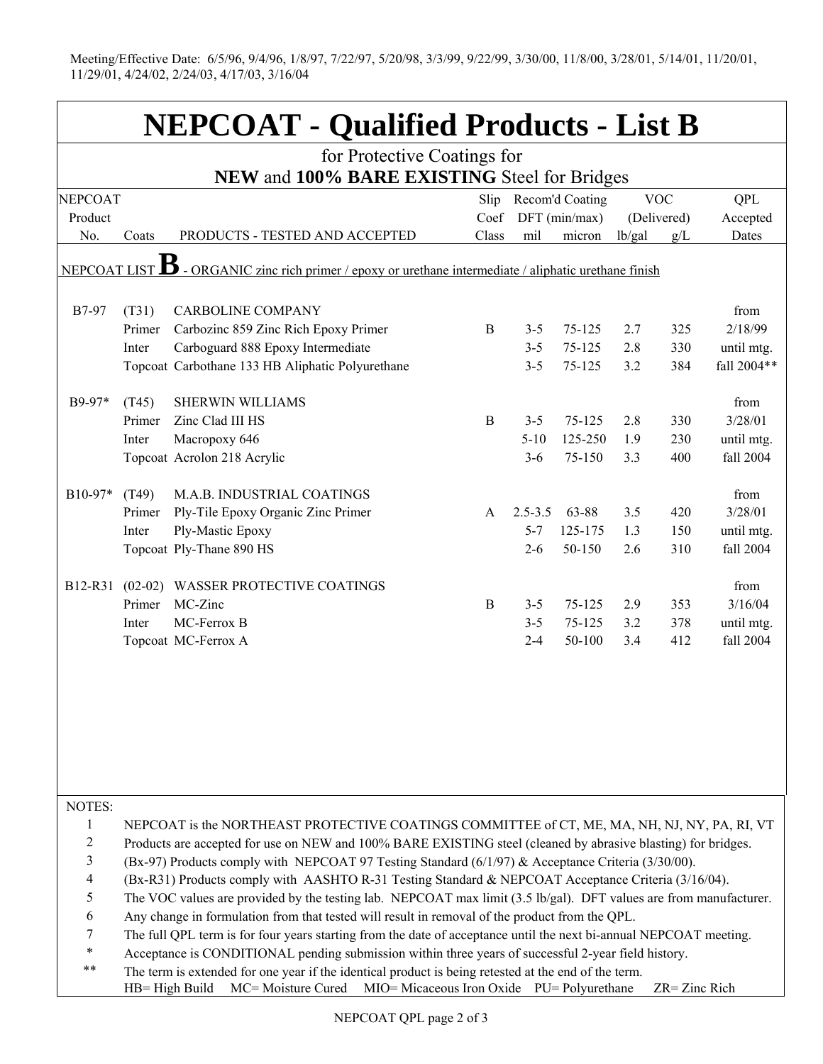Meeting/Effective Date: 6/5/96, 9/4/96, 1/8/97, 7/22/97, 5/20/98, 3/3/99, 9/22/99, 3/30/00, 11/8/00, 3/28/01, 5/14/01, 11/20/01, 11/29/01, 4/24/02, 2/24/03, 4/17/03, 3/16/04

| <b>NEPCOAT - Qualified Products - List B</b> |                                                                                                                                                                                                             |                                                                                                                    |       |                 |               |            |             |             |  |
|----------------------------------------------|-------------------------------------------------------------------------------------------------------------------------------------------------------------------------------------------------------------|--------------------------------------------------------------------------------------------------------------------|-------|-----------------|---------------|------------|-------------|-------------|--|
| for Protective Coatings for                  |                                                                                                                                                                                                             |                                                                                                                    |       |                 |               |            |             |             |  |
|                                              | NEW and 100% BARE EXISTING Steel for Bridges                                                                                                                                                                |                                                                                                                    |       |                 |               |            |             |             |  |
| <b>NEPCOAT</b>                               |                                                                                                                                                                                                             |                                                                                                                    | Slip  | Recom'd Coating |               | <b>VOC</b> |             | QPL         |  |
| Product                                      |                                                                                                                                                                                                             |                                                                                                                    | Coef  |                 | DFT (min/max) |            | (Delivered) | Accepted    |  |
| No.                                          | Coats                                                                                                                                                                                                       | PRODUCTS - TESTED AND ACCEPTED                                                                                     | Class | mil             | micron        | lb/gal     | g/L         | Dates       |  |
| NEPCOATLIST $\bf{B}$                         |                                                                                                                                                                                                             | - ORGANIC zinc rich primer / epoxy or urethane intermediate / aliphatic urethane finish                            |       |                 |               |            |             |             |  |
| B7-97                                        | (T31)                                                                                                                                                                                                       | <b>CARBOLINE COMPANY</b>                                                                                           |       |                 |               |            |             | from        |  |
|                                              | Primer                                                                                                                                                                                                      | Carbozinc 859 Zinc Rich Epoxy Primer                                                                               | B     | $3 - 5$         | 75-125        | 2.7        | 325         | 2/18/99     |  |
|                                              | Inter                                                                                                                                                                                                       | Carboguard 888 Epoxy Intermediate                                                                                  |       | $3 - 5$         | 75-125        | 2.8        | 330         | until mtg.  |  |
|                                              |                                                                                                                                                                                                             | Topcoat Carbothane 133 HB Aliphatic Polyurethane                                                                   |       | $3 - 5$         | 75-125        | 3.2        | 384         | fall 2004** |  |
| $B9-97*$                                     | (T45)                                                                                                                                                                                                       | <b>SHERWIN WILLIAMS</b>                                                                                            |       |                 |               |            |             | from        |  |
|                                              | Primer                                                                                                                                                                                                      | Zinc Clad III HS                                                                                                   | B     | $3 - 5$         | 75-125        | 2.8        | 330         | 3/28/01     |  |
|                                              | Inter                                                                                                                                                                                                       | Macropoxy 646                                                                                                      |       | $5 - 10$        | 125-250       | 1.9        | 230         | until mtg.  |  |
|                                              |                                                                                                                                                                                                             | Topcoat Acrolon 218 Acrylic                                                                                        |       | $3 - 6$         | 75-150        | 3.3        | 400         | fall 2004   |  |
| $B10-97*$                                    | (T49)                                                                                                                                                                                                       | M.A.B. INDUSTRIAL COATINGS                                                                                         |       |                 |               |            |             | from        |  |
|                                              | Primer                                                                                                                                                                                                      | Ply-Tile Epoxy Organic Zinc Primer                                                                                 | A     | $2.5 - 3.5$     | 63-88         | 3.5        | 420         | 3/28/01     |  |
|                                              | Inter                                                                                                                                                                                                       | Ply-Mastic Epoxy                                                                                                   |       | $5 - 7$         | 125-175       | 1.3        | 150         | until mtg.  |  |
|                                              |                                                                                                                                                                                                             | Topcoat Ply-Thane 890 HS                                                                                           |       | $2 - 6$         | 50-150        | 2.6        | 310         | fall 2004   |  |
| B12-R31                                      |                                                                                                                                                                                                             | (02-02) WASSER PROTECTIVE COATINGS                                                                                 |       |                 |               |            |             | from        |  |
|                                              | Primer                                                                                                                                                                                                      | MC-Zinc                                                                                                            | B     | $3 - 5$         | $75 - 125$    | 2.9        | 353         | 3/16/04     |  |
|                                              | Inter                                                                                                                                                                                                       | MC-Ferrox B                                                                                                        |       | $3 - 5$         | 75-125        | 3.2        | 378         | until mtg.  |  |
|                                              |                                                                                                                                                                                                             | Topcoat MC-Ferrox A                                                                                                |       | $2 - 4$         | 50-100        | 3.4        | 412         | fall 2004   |  |
|                                              |                                                                                                                                                                                                             |                                                                                                                    |       |                 |               |            |             |             |  |
| NOTES:                                       |                                                                                                                                                                                                             |                                                                                                                    |       |                 |               |            |             |             |  |
| 1                                            |                                                                                                                                                                                                             | NEPCOAT is the NORTHEAST PROTECTIVE COATINGS COMMITTEE of CT, ME, MA, NH, NJ, NY, PA, RI, VT                       |       |                 |               |            |             |             |  |
| $\overline{c}$                               |                                                                                                                                                                                                             | Products are accepted for use on NEW and 100% BARE EXISTING steel (cleaned by abrasive blasting) for bridges.      |       |                 |               |            |             |             |  |
| $\mathfrak{Z}$                               |                                                                                                                                                                                                             | (Bx-97) Products comply with NEPCOAT 97 Testing Standard $(6/1/97)$ & Acceptance Criteria (3/30/00).               |       |                 |               |            |             |             |  |
| $\overline{4}$                               |                                                                                                                                                                                                             | (Bx-R31) Products comply with AASHTO R-31 Testing Standard & NEPCOAT Acceptance Criteria (3/16/04).                |       |                 |               |            |             |             |  |
| 5                                            |                                                                                                                                                                                                             | The VOC values are provided by the testing lab. NEPCOAT max limit (3.5 lb/gal). DFT values are from manufacturer.  |       |                 |               |            |             |             |  |
| 6                                            |                                                                                                                                                                                                             | Any change in formulation from that tested will result in removal of the product from the QPL.                     |       |                 |               |            |             |             |  |
| 7                                            |                                                                                                                                                                                                             | The full QPL term is for four years starting from the date of acceptance until the next bi-annual NEPCOAT meeting. |       |                 |               |            |             |             |  |
| $\ast$                                       |                                                                                                                                                                                                             | Acceptance is CONDITIONAL pending submission within three years of successful 2-year field history.                |       |                 |               |            |             |             |  |
| $***$                                        | The term is extended for one year if the identical product is being retested at the end of the term.<br>HB= High Build<br>MC= Moisture Cured<br>MIO= Micaceous Iron Oxide PU= Polyurethane<br>ZR= Zinc Rich |                                                                                                                    |       |                 |               |            |             |             |  |